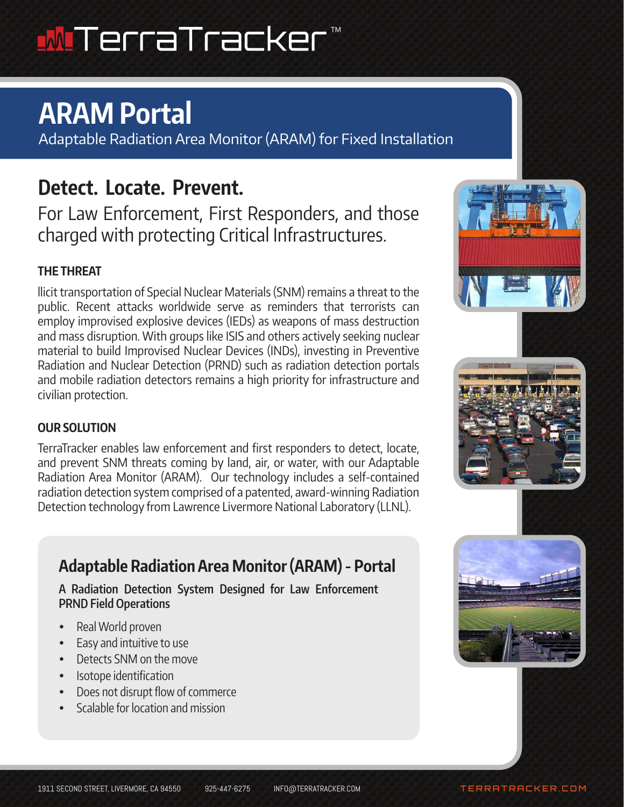## **MITerraTracker** ™

# **ARAM Portal**

Adaptable Radiation Area Monitor (ARAM) for Fixed Installation

# **Detect. Locate. Prevent.**

For Law Enforcement, First Responders, and those charged with protecting Critical Infrastructures.

### **THE THREAT**

llicit transportation of Special Nuclear Materials (SNM) remains a threat to the public. Recent attacks worldwide serve as reminders that terrorists can employ improvised explosive devices (IEDs) as weapons of mass destruction and mass disruption. With groups like ISIS and others actively seeking nuclear material to build Improvised Nuclear Devices (INDs), investing in Preventive Radiation and Nuclear Detection (PRND) such as radiation detection portals and mobile radiation detectors remains a high priority for infrastructure and civilian protection.

### **OUR SOLUTION**

TerraTracker enables law enforcement and first responders to detect, locate, and prevent SNM threats coming by land, air, or water, with our Adaptable Radiation Area Monitor (ARAM). Our technology includes a self-contained radiation detection system comprised of a patented, award-winning Radiation Detection technology from Lawrence Livermore National Laboratory (LLNL).

# **Adaptable Radiation Area Monitor (ARAM) - Portal**

**A Radiation Detection System Designed for Law Enforcement PRND Field Operations**

- Real World proven
- Easy and intuitive to use
- Detects SNM on the move
- Isotope identification
- Does not disrupt flow of commerce
- Scalable for location and mission